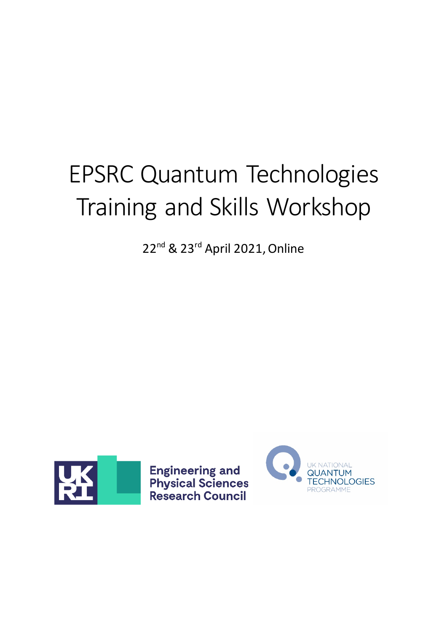# EPSRC Quantum Technologies Training and Skills Workshop

22<sup>nd</sup> & 23<sup>rd</sup> April 2021, Online



**Engineering and<br>Physical Sciences<br>Research Council** 

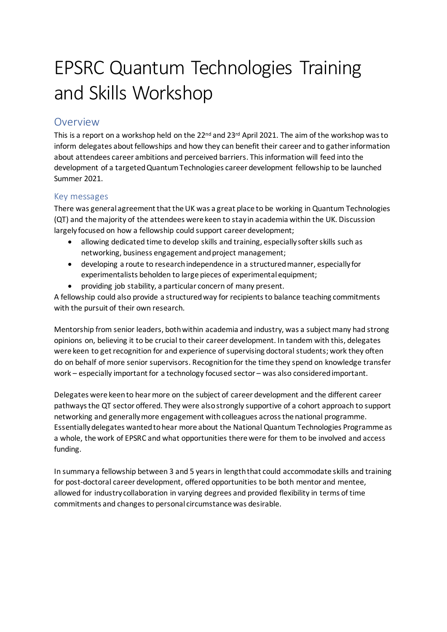# EPSRC Quantum Technologies Training and Skills Workshop

## <span id="page-1-0"></span>Overview

This is a report on a workshop held on the 22<sup>nd</sup> and 23<sup>rd</sup> April 2021. The aim of the workshop was to inform delegates about fellowships and how they can benefit their career and to gather information about attendees career ambitions and perceived barriers. This information will feed into the development of a targetedQuantum Technologies career development fellowship to be launched Summer 2021.

#### <span id="page-1-1"></span>Key messages

There was general agreement that the UK was a great place to be working in Quantum Technologies (QT) and the majority of the attendees were keen to stay in academia within the UK. Discussion largely focused on how a fellowship could support career development;

- allowing dedicated time to develop skills and training, especially softer skills such as networking, business engagement and project management;
- developing a route to research independence in a structured manner, especially for experimentalists beholden to large pieces of experimental equipment;
- providing job stability, a particular concern of many present.

A fellowship could also provide a structured way for recipients to balance teaching commitments with the pursuit of their own research.

Mentorship from senior leaders, both within academia and industry, was a subject many had strong opinions on, believing it to be crucial to their career development. In tandem with this, delegates were keen to get recognition for and experience of supervising doctoral students; work they often do on behalf of more senior supervisors. Recognition for the time they spend on knowledge transfer work – especially important for a technology focused sector – was also considered important.

Delegates were keen to hear more on the subject of career development and the different career pathways the QT sector offered. They were alsostrongly supportive of a cohort approach to support networking and generally more engagement with colleagues across the national programme. Essentially delegates wanted to hear more about the National Quantum Technologies Programme as a whole, the work of EPSRC and what opportunities there were for them to be involved and access funding.

In summary a fellowship between 3 and 5 years in length that could accommodate skills and training for post-doctoral career development, offered opportunities to be both mentor and mentee, allowed for industry collaboration in varying degrees and provided flexibility in terms of time commitments and changes to personal circumstance was desirable.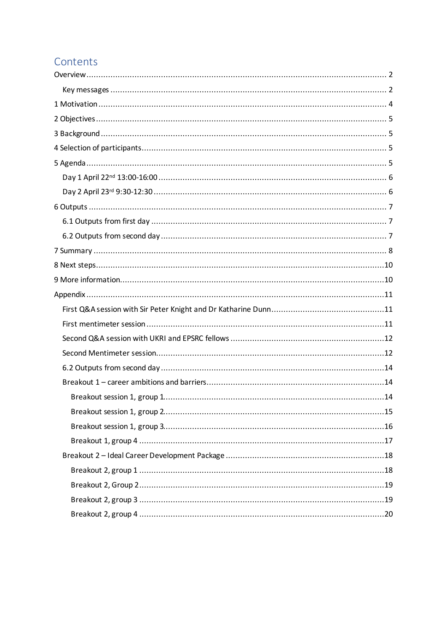## Contents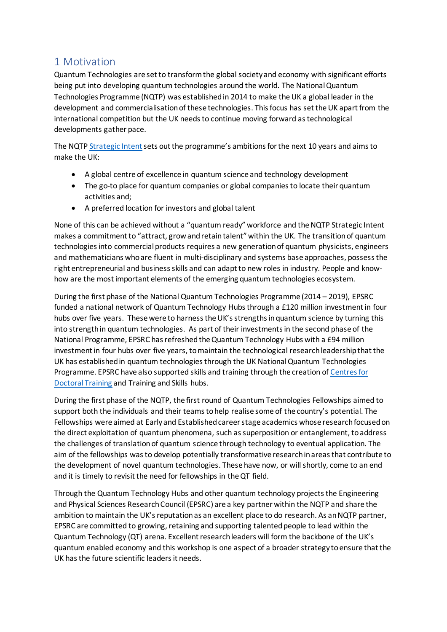## <span id="page-3-0"></span>1 Motivation

Quantum Technologies are set to transform the global society and economy with significant efforts being put into developing quantum technologies around the world. The National Quantum Technologies Programme (NQTP) was established in 2014 to make the UK a global leader in the development and commercialisation of these technologies. This focus has set the UK apart from the international competition but the UK needs to continue moving forward as technological developments gather pace.

The NQTP [Strategic Intent](https://uknqt.ukri.org/files/strategicintent2020/) sets out the programme's ambitions for the next 10 years and aims to make the UK:

- A global centre of excellence in quantum science and technology development
- The go-to place for quantum companies or global companies to locate their quantum activities and;
- A preferred location for investors and global talent

None of this can be achieved without a "quantum ready" workforce and the NQTP Strategic Intent makes a commitment to "attract, grow and retain talent" within the UK. The transition of quantum technologies into commercial products requires a new generation of quantum physicists, engineers and mathematicians who are fluent in multi-disciplinary and systems base approaches, possessthe right entrepreneurial and business skills and can adapt to new roles in industry. People and knowhow are the most important elements of the emerging quantum technologies ecosystem.

During the first phase of the National Quantum Technologies Programme (2014 – 2019), EPSRC funded a national network of Quantum Technology Hubs through a £120 million investment in four hubs over five years. These were to harness the UK's strengths in quantum science by turning this into strength in quantum technologies. As part of their investments in the second phase of the National Programme, EPSRC has refreshed the Quantum Technology Hubs with a £94 million investment in four hubs over five years, to maintain the technological research leadership that the UK has established in quantum technologies through the UK National Quantum Technologies Programme. EPSRC have also supported skills and training through the creation of [Centres for](https://uknqt.ukri.org/about/training-and-skills/)  [Doctoral Training](https://uknqt.ukri.org/about/training-and-skills/) and Training and Skills hubs.

During the first phase of the NQTP, the first round of Quantum Technologies Fellowships aimed to support both the individuals and their teams to help realise some of the country's potential. The Fellowships were aimed at Early and Established career stage academics whose research focused on the direct exploitation of quantum phenomena, such as superposition or entanglement, to address the challenges of translation of quantum science through technology to eventual application. The aim of the fellowships was to develop potentially transformative research in areas that contribute to the development of novel quantum technologies. These have now, or will shortly, come to an end and it is timely to revisit the need for fellowships in the QT field.

Through the Quantum Technology Hubs and other quantum technology projects the Engineering and Physical Sciences Research Council (EPSRC) are a key partner within the NQTP and share the ambition to maintain the UK's reputation as an excellent place to do research. As an NQTP partner, EPSRC are committed to growing, retaining and supporting talented people to lead within the Quantum Technology (QT) arena. Excellent research leaders will form the backbone of the UK's quantum enabled economy and this workshop is one aspect of a broader strategy to ensure thatthe UK has the future scientific leaders it needs.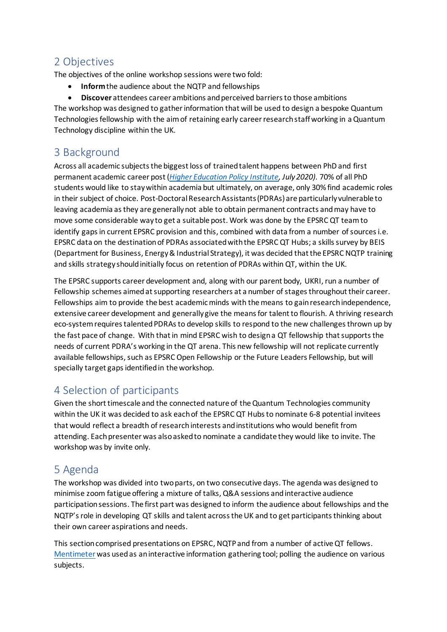## <span id="page-4-0"></span>2 Objectives

The objectives of the online workshop sessions were two fold:

- **Inform**the audience about the NQTP and fellowships
- **Discover** attendees career ambitions and perceived barriers to those ambitions

The workshop was designed to gather information that will be used to design a bespoke Quantum Technologies fellowship with the aimof retaining early career research staff working in a Quantum Technology discipline within the UK.

## <span id="page-4-1"></span>3 Background

Across all academic subjects the biggest loss of trainedtalent happens between PhD and first permanent academic career post (*[Higher Education Policy Institute,](https://www.hepi.ac.uk/2020/07/16/new-report-shows-67-of-phd-students-want-a-career-in-academic-research-but-only-30-stay-in-academia-three-years-on/#:%7E:text=to%20higher%20education.-,New%20report%20shows%2067%25%20of%20PhD%20students%20want%20a%20career,in%20academia%20three%20years%20on&text=The%20Higher%20Education%20Policy%20Institute,are%20studying%20for%20doctoral%20degrees.) July 2020)*. 70% of all PhD students would like to stay within academia but ultimately, on average, only 30% find academic roles in their subject of choice. Post-Doctoral Research Assistants (PDRAs) are particularly vulnerable to leaving academia as they are generally not able to obtain permanent contracts and may have to move some considerable way to get a suitable post. Work was done by the EPSRC QT team to identify gaps in current EPSRC provision and this, combined with data from a number of sources i.e. EPSRC data on the destination of PDRAs associated with the EPSRC QT Hubs; a skills survey by BEIS (Department for Business, Energy & Industrial Strategy), it was decided that the EPSRC NQTP training and skills strategy should initially focus on retention of PDRAs within QT, within the UK.

The EPSRC supports career development and, along with our parent body, UKRI, run a number of Fellowship schemes aimed at supporting researchers at a number of stages throughout their career. Fellowships aim to provide the best academic minds with the means to gain research independence, extensive career development and generally give the means for talent to flourish. A thriving research eco-system requires talented PDRAs to develop skills to respond to the new challenges thrown up by the fast pace of change. With that in mind EPSRC wish to design a QT fellowship that supports the needs of current PDRA's working in the QT arena. This new fellowship will not replicate currently available fellowships, such as EPSRC Open Fellowship or the Future Leaders Fellowship, but will specially target gaps identified in the workshop.

## <span id="page-4-2"></span>4 Selection of participants

Given the short timescale and the connected nature of the Quantum Technologies community within the UK it was decided to ask each of the EPSRC QT Hubs to nominate 6-8 potential invitees that would reflect a breadth of research interests and institutions who would benefit from attending. Each presenter was also asked to nominate a candidate they would like to invite. The workshop was by invite only.

## <span id="page-4-3"></span>5 Agenda

The workshop was divided into two parts, on two consecutive days. The agenda was designed to minimise zoom fatigue offering a mixture of talks, Q&A sessions and interactive audience participation sessions. The first part was designed to inform the audience about fellowships and the NQTP's role in developing QT skills and talent across the UK and to get participants thinking about their own career aspirations and needs.

This section comprised presentations on EPSRC, NQTP and from a number of active QT fellows. [Mentimeter](https://www.mentimeter.com/) was used as an interactive information gathering tool; polling the audience on various subjects.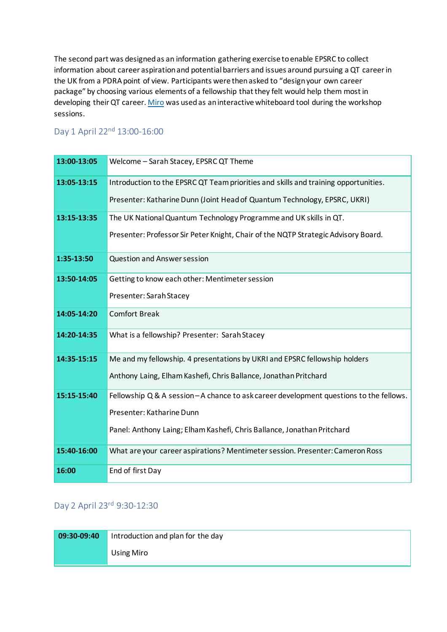The second part was designed as an information gathering exercise to enable EPSRC to collect information about career aspirationand potential barriers and issues around pursuing a QT career in the UK from a PDRA point of view. Participants were then asked to "design your own career package" by choosing various elements of a fellowship that they felt would help them most in developing their QT career[. Miro](https://miro.com/index/) was used as an interactive whiteboard tool during the workshop sessions.

## <span id="page-5-0"></span>Day 1 April 22nd 13:00-16:00

| 13:00-13:05 | Welcome - Sarah Stacey, EPSRC QT Theme                                                |
|-------------|---------------------------------------------------------------------------------------|
| 13:05-13:15 | Introduction to the EPSRC QT Team priorities and skills and training opportunities.   |
|             | Presenter: Katharine Dunn (Joint Head of Quantum Technology, EPSRC, UKRI)             |
| 13:15-13:35 | The UK National Quantum Technology Programme and UK skills in QT.                     |
|             | Presenter: Professor Sir Peter Knight, Chair of the NQTP Strategic Advisory Board.    |
| 1:35-13:50  | Question and Answer session                                                           |
| 13:50-14:05 | Getting to know each other: Mentimeter session                                        |
|             | Presenter: Sarah Stacey                                                               |
| 14:05-14:20 | <b>Comfort Break</b>                                                                  |
| 14:20-14:35 | What is a fellowship? Presenter: Sarah Stacey                                         |
| 14:35-15:15 | Me and my fellowship. 4 presentations by UKRI and EPSRC fellowship holders            |
|             | Anthony Laing, Elham Kashefi, Chris Ballance, Jonathan Pritchard                      |
| 15:15-15:40 | Fellowship Q & A session-A chance to ask career development questions to the fellows. |
|             | Presenter: Katharine Dunn                                                             |
|             | Panel: Anthony Laing; Elham Kashefi, Chris Ballance, Jonathan Pritchard               |
| 15:40-16:00 | What are your career aspirations? Mentimeter session. Presenter: Cameron Ross         |
| 16:00       | End of first Day                                                                      |

#### <span id="page-5-1"></span>Day 2 April 23rd 9:30-12:30

| $09:30-09:40$ | Introduction and plan for the day |
|---------------|-----------------------------------|
|               | Using Miro                        |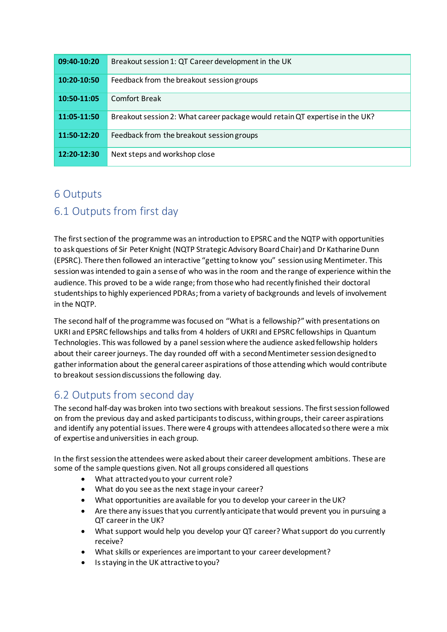| 09:40-10:20 | Breakout session 1: QT Career development in the UK                          |
|-------------|------------------------------------------------------------------------------|
| 10:20-10:50 | Feedback from the breakout session groups                                    |
| 10:50-11:05 | <b>Comfort Break</b>                                                         |
| 11:05-11:50 | Breakout session 2: What career package would retain QT expertise in the UK? |
| 11:50-12:20 | Feedback from the breakout session groups                                    |
| 12:20-12:30 | Next steps and workshop close                                                |

## <span id="page-6-1"></span><span id="page-6-0"></span>6 Outputs 6.1 Outputs from first day

The first section of the programme was an introduction to EPSRC and the NQTP with opportunities to ask questions of Sir Peter Knight (NQTP Strategic Advisory Board Chair) and Dr Katharine Dunn (EPSRC). There then followed an interactive "getting to know you" session using Mentimeter. This session was intended to gain a sense of who was in the room and the range of experience within the audience. This proved to be a wide range; from those who had recently finished their doctoral studentships to highly experienced PDRAs; from a variety of backgrounds and levels of involvement in the NQTP.

The second half of the programme was focused on "What is a fellowship?" with presentations on UKRI and EPSRC fellowships and talks from 4 holders of UKRI and EPSRC fellowships in Quantum Technologies. This was followed by a panel session where the audience askedfellowship holders about their career journeys. The day rounded off with a second Mentimeter sessiondesigned to gather information about the general career aspirations of those attending which would contribute to breakout session discussions the following day.

## <span id="page-6-2"></span>6.2 Outputs from second day

The second half-day was broken into two sections with breakout sessions. The first session followed on from the previous day and asked participants to discuss, within groups, their career aspirations and identify any potential issues. There were 4 groups with attendees allocated so there were a mix of expertise and universities in each group.

In the first session the attendees were asked about their career development ambitions. These are some of the sample questions given. Not all groups considered all questions

- What attracted you to your current role?
- What do you see as the next stage in your career?
- What opportunities are available for you to develop your career in the UK?
- Are there any issues that you currently anticipate that would prevent you in pursuing a QT career in the UK?
- What support would help you develop your QT career? What support do you currently receive?
- What skills or experiences are important to your career development?
- Is staying in the UK attractive to you?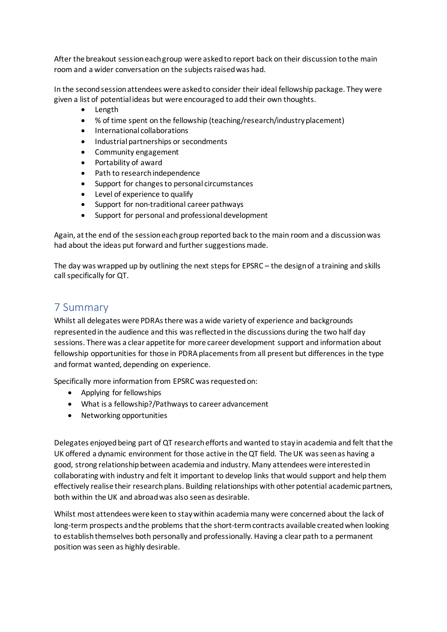After the breakout session each group were asked to report back on their discussion to the main room and a wider conversation on the subjects raised was had.

In the second session attendees were asked to consider their ideal fellowship package. They were given a list of potential ideas but were encouraged to add their own thoughts.

- Length
- % of time spent on the fellowship (teaching/research/industry placement)
- International collaborations
- Industrial partnerships or secondments
- Community engagement
- Portability of award
- Path to research independence
- Support for changes to personal circumstances
- Level of experience to qualify
- Support for non-traditional career pathways
- Support for personal and professional development

Again, at the end of the session each group reported back to the main room and a discussion was had about the ideas put forward and further suggestions made.

The day was wrapped up by outlining the next steps for EPSRC – the design of a training and skills call specifically for QT.

## <span id="page-7-0"></span>7 Summary

Whilst all delegates were PDRAs there was a wide variety of experience and backgrounds represented in the audience and this was reflected in the discussions during the two half day sessions. There was a clear appetite for more career development support and information about fellowship opportunities for those in PDRA placements from all present but differences in the type and format wanted, depending on experience.

Specifically more information from EPSRC was requested on:

- Applying for fellowships
- What is a fellowship?/Pathways to career advancement
- Networking opportunities

Delegates enjoyed being part of QT research efforts and wanted to stay in academia and felt that the UK offered a dynamic environment for those active in the QT field. The UK was seen as having a good, strong relationship between academia and industry. Many attendees were interested in collaborating with industry and felt it important to develop links that would support and help them effectively realise their research plans. Building relationships with other potential academic partners, both within the UK and abroad was also seen as desirable.

Whilst most attendees were keen to stay within academia many were concerned about the lack of long-term prospects and the problems that the short-term contracts available created when looking to establish themselves both personally and professionally. Having a clear path to a permanent position was seen as highly desirable.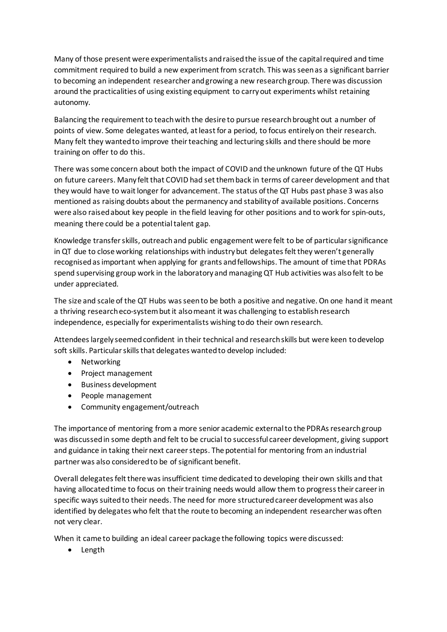Many of those present were experimentalists and raised the issue of the capital required and time commitment required to build a new experiment from scratch. This was seen as a significant barrier to becoming an independent researcher and growing a new research group. There was discussion around the practicalities of using existing equipment to carry out experiments whilst retaining autonomy.

Balancing the requirement to teach with the desire to pursue research brought out a number of points of view. Some delegates wanted, at least for a period, to focus entirely on their research. Many felt they wanted to improve their teaching and lecturing skills and there should be more training on offer to do this.

There was some concern about both the impact of COVID and the unknown future of the QT Hubs on future careers. Many felt that COVID had set them back in terms of career development and that they would have to wait longer for advancement. The status of the QT Hubs past phase 3 was also mentioned as raising doubts about the permanency and stability of available positions. Concerns were also raised about key people in the field leaving for other positions and to work for spin-outs, meaning there could be a potential talent gap.

Knowledge transfer skills, outreach and public engagement were felt to be of particular significance in QT due to close working relationships with industry but delegates felt they weren't generally recognised as important when applying for grants and fellowships. The amount of time that PDRAs spend supervising group work in the laboratory and managing QT Hub activities was also felt to be under appreciated.

The size and scale of the QT Hubs was seen to be both a positive and negative. On one hand it meant a thriving research eco-system but it also meant it was challenging to establish research independence, especially for experimentalists wishing to do their own research.

Attendees largely seemed confident in their technical and research skills but were keen to develop soft skills. Particular skills that delegates wanted to develop included:

- Networking
- Project management
- Business development
- People management
- Community engagement/outreach

The importance of mentoring from a more senior academic external to the PDRAs research group was discussed in some depth and felt to be crucial to successful career development, giving support and guidance in taking their next career steps. The potential for mentoring from an industrial partner was also considered to be of significant benefit.

Overall delegatesfelt there was insufficient time dedicated to developing their own skills and that having allocated time to focus on their training needs would allow them to progress their career in specific ways suited to their needs. The need for more structured career development was also identified by delegates who felt that the route to becoming an independent researcher was often not very clear.

When it came to building an ideal career package the following topics were discussed:

• Length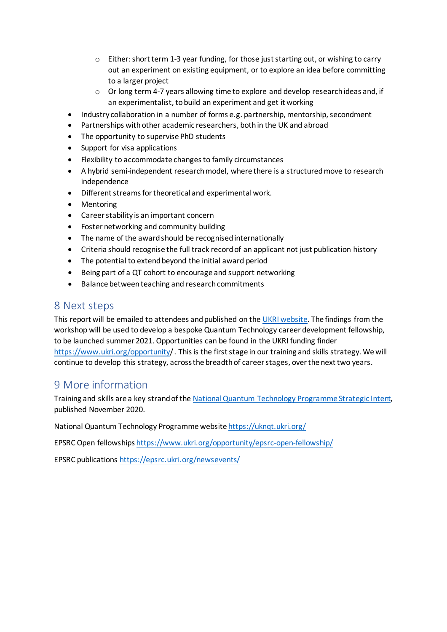- $\circ$  Either: short term 1-3 year funding, for those just starting out, or wishing to carry out an experiment on existing equipment, or to explore an idea before committing to a larger project
- o Or long term 4-7 years allowing time to explore and develop research ideas and, if an experimentalist, to build an experiment and get it working
- Industry collaboration in a number of forms e.g. partnership, mentorship, secondment
- Partnerships with other academic researchers, both in the UK and abroad
- The opportunity to supervise PhD students
- Support for visa applications
- Flexibility to accommodate changes to family circumstances
- A hybrid semi-independent research model, where there is a structured move to research independence
- Different streams for theoretical and experimental work.
- Mentoring
- Career stability is an important concern
- Foster networking and community building
- The name of the award should be recognised internationally
- Criteria should recognise the full track record of an applicant not just publication history
- The potential to extend beyond the initial award period
- Being part of a QT cohort to encourage and support networking
- Balance between teaching and research commitments

## <span id="page-9-0"></span>8 Next steps

This report will be emailed to attendees and published on th[e UKRI website.](https://www.ukri.org/) The findings from the workshop will be used to develop a bespoke Quantum Technology career development fellowship, to be launched summer 2021. Opportunities can be found in the UKRI funding finder <https://www.ukri.org/opportunity/>. This is the first stage in our training and skills strategy. We will continue to develop this strategy, across the breadth of career stages, over the next two years.

## <span id="page-9-1"></span>9 More information

Training and skills are a key strand of th[e National Quantum Technology](https://uknqt.ukri.org/files/strategicintent2020/) Programme Strategic Intent, published November 2020.

National Quantum Technology Programme websit[e https://uknqt.ukri.org/](https://uknqt.ukri.org/)

EPSRC Open fellowships <https://www.ukri.org/opportunity/epsrc-open-fellowship/>

EPSRC publications<https://epsrc.ukri.org/newsevents/>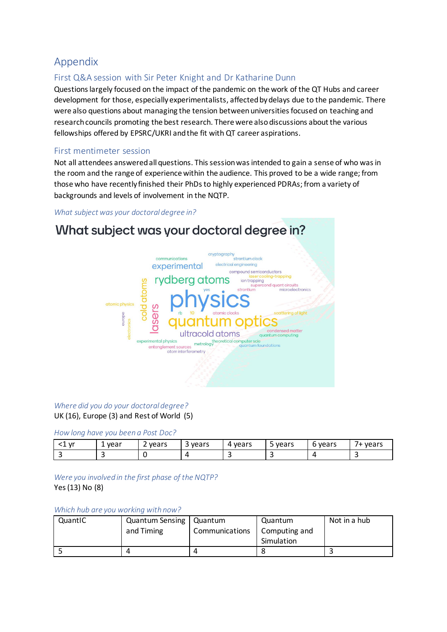## <span id="page-10-0"></span>Appendix

### <span id="page-10-1"></span>First Q&A session with Sir Peter Knight and Dr Katharine Dunn

Questions largely focused on the impact of the pandemic on the work of the QT Hubs and career development for those, especially experimentalists, affected by delays due to the pandemic. There were also questions about managing the tension between universities focused on teaching and research councils promoting the best research. There were also discussions about the various fellowships offered by EPSRC/UKRI and the fit with QT career aspirations.

#### <span id="page-10-2"></span>First mentimeter session

Not all attendees answered all questions. This session was intended to gain a sense of who was in the room and the range of experience within the audience. This proved to be a wide range; from those who have recently finished their PhDsto highly experienced PDRAs; from a variety of backgrounds and levels of involvement in the NQTP.

#### *What subject was your doctoral degree in?*

## What subject was your doctoral degree in?



#### *Where did you do your doctoral degree?*

UK (16), Europe (3) and Rest of World (5)

#### *How long have you been a Post Doc?*

| $\mathsf{v}$<br>. . | year                     | vears | vears | vears<br>∼ | vears<br>ــ | vears<br>. . | -<br>vears |
|---------------------|--------------------------|-------|-------|------------|-------------|--------------|------------|
|                     | $\overline{\phantom{0}}$ |       |       |            | سه          |              |            |

*Were you involved in the first phase of the NQTP?* Yes (13) No (8)

#### *Which hub are you working with now?*

| QuantIC | Quantum Sensing   Quantum |                | Quantum       | Not in a hub |
|---------|---------------------------|----------------|---------------|--------------|
|         | and Timing                | Communications | Computing and |              |
|         |                           |                | Simulation    |              |
|         |                           |                |               |              |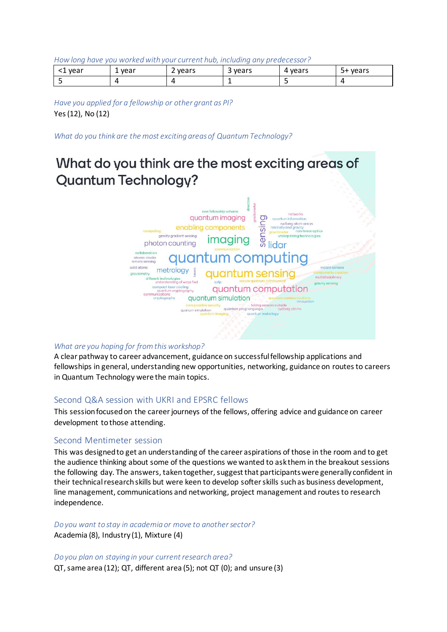*How long have you worked with your current hub, including any predecessor?*

| vear | vear<br>-<br>$\sim$ | -<br>vears<br>- | -<br>vears<br>$\overline{\phantom{a}}$ | vears<br>4 | vears<br>+כ |
|------|---------------------|-----------------|----------------------------------------|------------|-------------|
|      |                     |                 | . .                                    |            |             |

*Have you applied for a fellowship or other grant as PI?* Yes (12), No (12)

*What do you think are the most exciting areas of Quantum Technology?*

## What do you think are the most exciting areas of **Quantum Technology?**



#### *What are you hoping for from this workshop?*

A clear pathway to career advancement, guidance on successful fellowship applications and fellowships in general, understanding new opportunities, networking, guidance on routes to careers in Quantum Technology were the main topics.

#### <span id="page-11-0"></span>Second Q&A session with UKRI and EPSRC fellows

This session focused on the career journeys of the fellows, offering advice and guidance on career development to those attending.

#### <span id="page-11-1"></span>Second Mentimeter session

This was designed to get an understanding of the career aspirations of those in the room and to get the audience thinking about some of the questions we wanted to ask them in the breakout sessions the following day. The answers, taken together, suggest that participants were generally confident in their technical research skills but were keen to develop softer skills such as business development, line management, communications and networking, project management and routes to research independence.

#### *Do you want to stay in academia or move to another sector?*

Academia (8), Industry (1), Mixture (4)

*Do you plan on staying in your current research area?*

QT, same area (12); QT, different area (5); not QT (0); and unsure (3)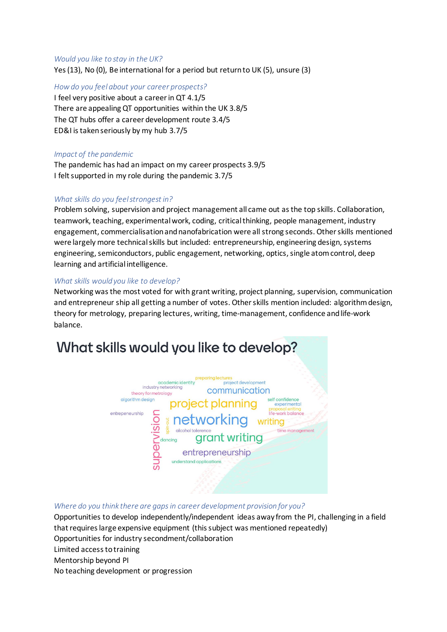#### *Would you like to stay in the UK?*

Yes (13), No (0), Be international for a period but return to UK (5), unsure (3)

*How do you feel about your career prospects?*

I feel very positive about a career in QT 4.1/5 There are appealing QT opportunities within the UK 3.8/5 The QT hubs offer a career development route 3.4/5 ED&I is taken seriously by my hub 3.7/5

#### *Impact of the pandemic*

The pandemic has had an impact on my career prospects 3.9/5 I felt supported in my role during the pandemic 3.7/5

#### *What skills do you feel strongest in?*

Problem solving, supervision and project management all came out as the top skills. Collaboration, teamwork, teaching, experimental work, coding, critical thinking, people management, industry engagement, commercialisationand nanofabrication were all strong seconds. Other skills mentioned were largely more technical skills but included: entrepreneurship, engineering design, systems engineering, semiconductors, public engagement, networking, optics, single atom control, deep learning and artificial intelligence.

#### *What skills would you like to develop?*

Networking was the most voted for with grant writing, project planning, supervision, communication and entrepreneur ship all getting a number of votes. Other skills mention included: algorithm design, theory for metrology, preparing lectures, writing, time-management, confidence and life-work balance.

# What skills would you like to develop?



#### *Where do you think there are gaps in career development provision for you?*

Opportunities to develop independently/independent ideas away from the PI, challenging in a field that requires large expensive equipment (this subject was mentioned repeatedly) Opportunities for industry secondment/collaboration Limited access to training Mentorship beyond PI No teaching development or progression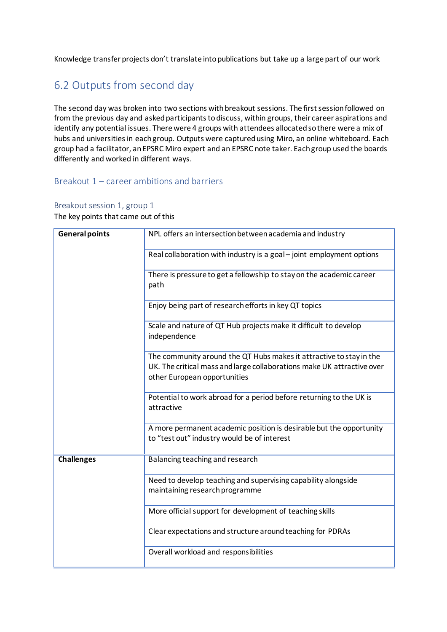Knowledge transfer projects don't translate into publications but take up a large part of our work

## <span id="page-13-0"></span>6.2 Outputs from second day

The second day was broken into two sections with breakout sessions. The first session followed on from the previous day and asked participants to discuss, within groups, their career aspirations and identify any potential issues. There were 4 groups with attendees allocated so there were a mix of hubs and universities in each group. Outputs were captured using Miro, an online whiteboard. Each group had a facilitator, an EPSRC Miro expert and an EPSRC note taker. Each group used the boards differently and worked in different ways.

#### <span id="page-13-1"></span>Breakout 1 – career ambitions and barriers

#### <span id="page-13-2"></span>Breakout session 1, group 1

The key points that came out of this

| <b>General points</b> | NPL offers an intersection between academia and industry                                                                                                                      |
|-----------------------|-------------------------------------------------------------------------------------------------------------------------------------------------------------------------------|
|                       | Real collaboration with industry is a goal - joint employment options                                                                                                         |
|                       | There is pressure to get a fellowship to stay on the academic career<br>path                                                                                                  |
|                       | Enjoy being part of research efforts in key QT topics                                                                                                                         |
|                       | Scale and nature of QT Hub projects make it difficult to develop<br>independence                                                                                              |
|                       | The community around the QT Hubs makes it attractive to stay in the<br>UK. The critical mass and large collaborations make UK attractive over<br>other European opportunities |
|                       | Potential to work abroad for a period before returning to the UK is<br>attractive                                                                                             |
|                       | A more permanent academic position is desirable but the opportunity<br>to "test out" industry would be of interest                                                            |
| <b>Challenges</b>     | Balancing teaching and research                                                                                                                                               |
|                       | Need to develop teaching and supervising capability alongside<br>maintaining research programme                                                                               |
|                       | More official support for development of teaching skills                                                                                                                      |
|                       | Clear expectations and structure around teaching for PDRAs                                                                                                                    |
|                       | Overall workload and responsibilities                                                                                                                                         |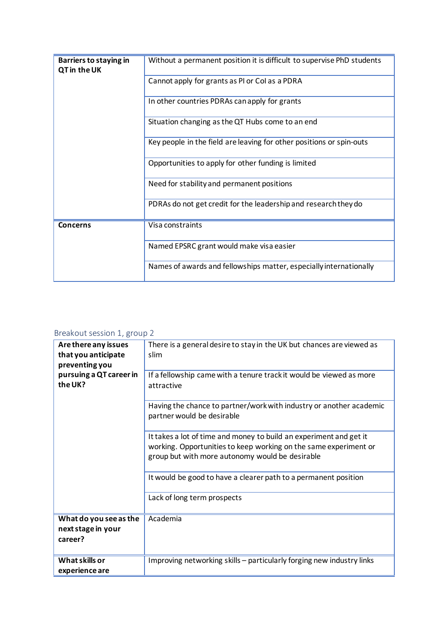| Barriers to staying in<br>QT in the UK | Without a permanent position it is difficult to supervise PhD students |  |  |
|----------------------------------------|------------------------------------------------------------------------|--|--|
|                                        | Cannot apply for grants as PI or Col as a PDRA                         |  |  |
|                                        | In other countries PDRAs can apply for grants                          |  |  |
|                                        | Situation changing as the QT Hubs come to an end                       |  |  |
|                                        | Key people in the field are leaving for other positions or spin-outs   |  |  |
|                                        | Opportunities to apply for other funding is limited                    |  |  |
|                                        | Need for stability and permanent positions                             |  |  |
|                                        | PDRAs do not get credit for the leadership and research they do        |  |  |
| Concerns                               | Visa constraints                                                       |  |  |
|                                        | Named EPSRC grant would make visa easier                               |  |  |
|                                        | Names of awards and fellowships matter, especially internationally     |  |  |

### <span id="page-14-0"></span>Breakout session 1, group 2

| Are there any issues<br>that you anticipate<br>preventing you | There is a general desire to stay in the UK but chances are viewed as<br>slim                                                                                                             |
|---------------------------------------------------------------|-------------------------------------------------------------------------------------------------------------------------------------------------------------------------------------------|
| pursuing a QT career in<br>the UK?                            | If a fellowship came with a tenure track it would be viewed as more<br>attractive                                                                                                         |
|                                                               | Having the chance to partner/work with industry or another academic<br>partner would be desirable                                                                                         |
|                                                               | It takes a lot of time and money to build an experiment and get it<br>working. Opportunities to keep working on the same experiment or<br>group but with more autonomy would be desirable |
|                                                               | It would be good to have a clearer path to a permanent position                                                                                                                           |
|                                                               | Lack of long term prospects                                                                                                                                                               |
| What do you see as the<br>next stage in your<br>career?       | Academia                                                                                                                                                                                  |
| <b>What skills or</b><br>experience are                       | Improving networking skills - particularly forging new industry links                                                                                                                     |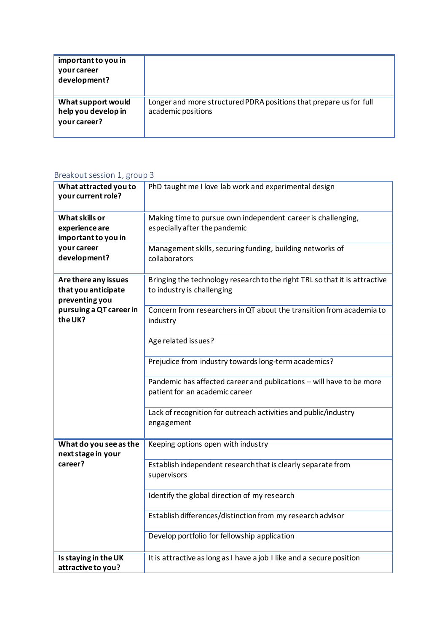| important to you in<br>your career<br>development?        |                                                                                          |
|-----------------------------------------------------------|------------------------------------------------------------------------------------------|
| What support would<br>help you develop in<br>your career? | Longer and more structured PDRA positions that prepare us for full<br>academic positions |

#### **What attracted you to your current role?** PhD taught me I love lab work and experimental design **What skills or experience are important to you in your career development?** Making time to pursue own independent career is challenging, especially after the pandemic Management skills, securing funding, building networks of collaborators **Are there any issues that you anticipate preventing you pursuing a QT career in the UK?** Bringing the technology research to the right TRL so that it is attractive to industry is challenging Concern from researchers in QT about the transition from academia to industry Age related issues? Prejudice from industry towards long-term academics? Pandemic has affected career and publications – will have to be more patient for an academic career Lack of recognition for outreach activities and public/industry engagement **What do you see as the next stage in your career?** Keeping options open with industry Establish independent research that is clearly separate from supervisors Identify the global direction of my research Establish differences/distinction from my research advisor Develop portfolio for fellowship application **Is staying in the UK attractive to you?** It is attractive as long as I have a job I like and a secure position

#### <span id="page-15-0"></span>Breakout session 1, group 3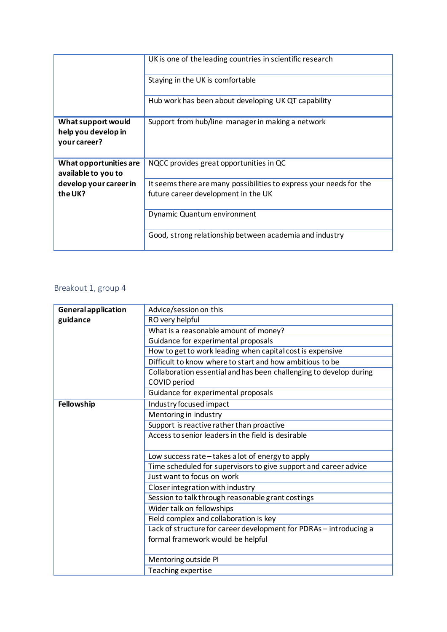|                                                           | UK is one of the leading countries in scientific research                                                  |
|-----------------------------------------------------------|------------------------------------------------------------------------------------------------------------|
|                                                           | Staying in the UK is comfortable                                                                           |
|                                                           | Hub work has been about developing UK QT capability                                                        |
| What support would<br>help you develop in<br>your career? | Support from hub/line manager in making a network                                                          |
| What opportunities are<br>available to you to             | NQCC provides great opportunities in QC                                                                    |
| develop your career in<br>the UK?                         | It seems there are many possibilities to express your needs for the<br>future career development in the UK |
|                                                           | Dynamic Quantum environment                                                                                |
|                                                           | Good, strong relationship between academia and industry                                                    |

#### <span id="page-16-0"></span>Breakout 1, group 4

| <b>General application</b> | Advice/session on this                                             |
|----------------------------|--------------------------------------------------------------------|
| guidance                   | RO very helpful                                                    |
|                            | What is a reasonable amount of money?                              |
|                            | Guidance for experimental proposals                                |
|                            | How to get to work leading when capital cost is expensive          |
|                            | Difficult to know where to start and how ambitious to be           |
|                            | Collaboration essential and has been challenging to develop during |
|                            | COVID period                                                       |
|                            | Guidance for experimental proposals                                |
| Fellowship                 | Industry focused impact                                            |
|                            | Mentoring in industry                                              |
|                            | Support is reactive rather than proactive                          |
|                            | Access to senior leaders in the field is desirable                 |
|                            |                                                                    |
|                            | Low success rate-takes a lot of energy to apply                    |
|                            | Time scheduled for supervisors to give support and career advice   |
|                            | Just want to focus on work                                         |
|                            | Closer integration with industry                                   |
|                            | Session to talk through reasonable grant costings                  |
|                            | Wider talk on fellowships                                          |
|                            | Field complex and collaboration is key                             |
|                            | Lack of structure for career development for PDRAs - introducing a |
|                            | formal framework would be helpful                                  |
|                            |                                                                    |
|                            | Mentoring outside PI                                               |
|                            | Teaching expertise                                                 |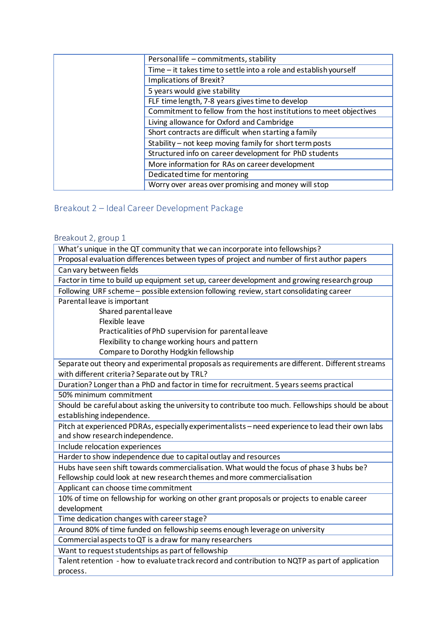| Personal life - commitments, stability                             |
|--------------------------------------------------------------------|
| Time - it takes time to settle into a role and establish yourself  |
| Implications of Brexit?                                            |
| 5 years would give stability                                       |
| FLF time length, 7-8 years gives time to develop                   |
| Commitment to fellow from the host institutions to meet objectives |
| Living allowance for Oxford and Cambridge                          |
| Short contracts are difficult when starting a family               |
| Stability - not keep moving family for short term posts            |
| Structured info on career development for PhD students             |
| More information for RAs on career development                     |
| Dedicated time for mentoring                                       |
| Worry over areas over promising and money will stop                |

## <span id="page-17-0"></span>Breakout 2 – Ideal Career Development Package

## <span id="page-17-1"></span>Breakout 2, group 1

| What's unique in the QT community that we can incorporate into fellowships?                       |  |  |  |
|---------------------------------------------------------------------------------------------------|--|--|--|
| Proposal evaluation differences between types of project and number of first author papers        |  |  |  |
| Can vary between fields                                                                           |  |  |  |
| Factor in time to build up equipment set up, career development and growing research group        |  |  |  |
| Following URF scheme - possible extension following review, start consolidating career            |  |  |  |
| Parental leave is important                                                                       |  |  |  |
| Shared parental leave                                                                             |  |  |  |
| Flexible leave                                                                                    |  |  |  |
| Practicalities of PhD supervision for parental leave                                              |  |  |  |
| Flexibility to change working hours and pattern                                                   |  |  |  |
| Compare to Dorothy Hodgkin fellowship                                                             |  |  |  |
| Separate out theory and experimental proposals as requirements are different. Different streams   |  |  |  |
| with different criteria? Separate out by TRL?                                                     |  |  |  |
| Duration? Longer than a PhD and factor in time for recruitment. 5 years seems practical           |  |  |  |
| 50% minimum commitment                                                                            |  |  |  |
| Should be careful about asking the university to contribute too much. Fellowships should be about |  |  |  |
| establishing independence.                                                                        |  |  |  |
| Pitch at experienced PDRAs, especially experimentalists - need experience to lead their own labs  |  |  |  |
| and show research independence.                                                                   |  |  |  |
| Include relocation experiences                                                                    |  |  |  |
| Harder to show independence due to capital outlay and resources                                   |  |  |  |
| Hubs have seen shift towards commercialisation. What would the focus of phase 3 hubs be?          |  |  |  |
| Fellowship could look at new research themes and more commercialisation                           |  |  |  |
| Applicant can choose time commitment                                                              |  |  |  |
| 10% of time on fellowship for working on other grant proposals or projects to enable career       |  |  |  |
| development                                                                                       |  |  |  |
| Time dedication changes with career stage?                                                        |  |  |  |
| Around 80% of time funded on fellowship seems enough leverage on university                       |  |  |  |
| Commercial aspects to QT is a draw for many researchers                                           |  |  |  |
| Want to request studentships as part of fellowship                                                |  |  |  |
| Talent retention - how to evaluate track record and contribution to NQTP as part of application   |  |  |  |
| process.                                                                                          |  |  |  |
|                                                                                                   |  |  |  |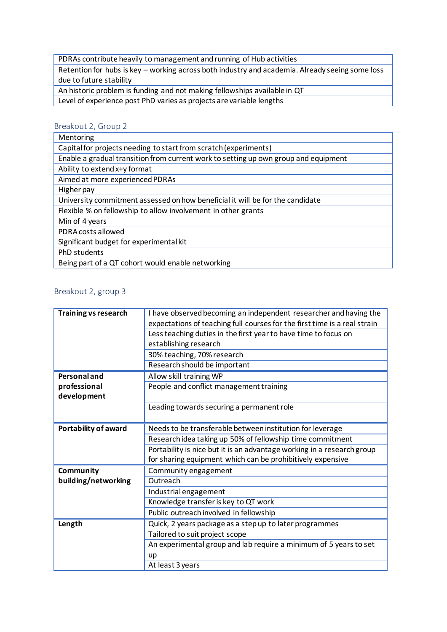PDRAs contribute heavily to management and running of Hub activities

Retention for hubs is key – working across both industry and academia. Already seeing some loss due to future stability

An historic problem is funding and not making fellowships available in QT

Level of experience post PhD varies as projects are variable lengths

#### <span id="page-18-0"></span>Breakout 2, Group 2

| Mentoring                                                                           |  |  |
|-------------------------------------------------------------------------------------|--|--|
| Capital for projects needing to start from scratch (experiments)                    |  |  |
| Enable a gradual transition from current work to setting up own group and equipment |  |  |
| Ability to extend x+y format                                                        |  |  |
| Aimed at more experienced PDRAs                                                     |  |  |
| Higher pay                                                                          |  |  |
| University commitment assessed on how beneficial it will be for the candidate       |  |  |
| Flexible % on fellowship to allow involvement in other grants                       |  |  |
| Min of 4 years                                                                      |  |  |
| PDRA costs allowed                                                                  |  |  |
| Significant budget for experimental kit                                             |  |  |
| PhD students                                                                        |  |  |
| Being part of a QT cohort would enable networking                                   |  |  |
|                                                                                     |  |  |

#### <span id="page-18-1"></span>Breakout 2, group 3

| <b>Training vs research</b> | I have observed becoming an independent researcher and having the         |
|-----------------------------|---------------------------------------------------------------------------|
|                             | expectations of teaching full courses for the first time is a real strain |
|                             | Less teaching duties in the first year to have time to focus on           |
|                             | establishing research                                                     |
|                             | 30% teaching, 70% research                                                |
|                             | Research should be important                                              |
| <b>Personal and</b>         | Allow skill training WP                                                   |
| professional                | People and conflict management training                                   |
| development                 |                                                                           |
|                             | Leading towards securing a permanent role                                 |
|                             |                                                                           |
| Portability of award        | Needs to be transferable between institution for leverage                 |
|                             | Research idea taking up 50% of fellowship time commitment                 |
|                             | Portability is nice but it is an advantage working in a research group    |
|                             | for sharing equipment which can be prohibitively expensive                |
| Community                   | Community engagement                                                      |
| building/networking         | Outreach                                                                  |
|                             | Industrial engagement                                                     |
|                             | Knowledge transfer is key to QT work                                      |
|                             | Public outreach involved in fellowship                                    |
| Length                      | Quick, 2 years package as a step up to later programmes                   |
|                             | Tailored to suit project scope                                            |
|                             | An experimental group and lab require a minimum of 5 years to set         |
|                             | <b>up</b>                                                                 |
|                             | At least 3 years                                                          |